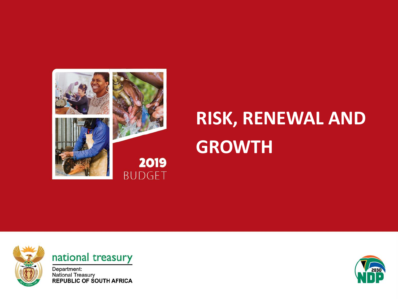

# **RISK, RENEWAL AND GROWTH**



### national treasury

Department:<br>National Treasury<br>REPUBLIC OF SOUTH AFRICA

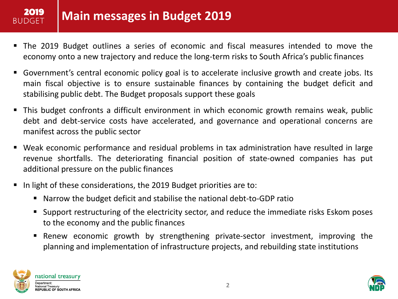## **Main messages in Budget 2019**

- The 2019 Budget outlines a series of economic and fiscal measures intended to move the economy onto a new trajectory and reduce the long-term risks to South Africa's public finances
- Government's central economic policy goal is to accelerate inclusive growth and create jobs. Its main fiscal objective is to ensure sustainable finances by containing the budget deficit and stabilising public debt. The Budget proposals support these goals
- This budget confronts a difficult environment in which economic growth remains weak, public debt and debt-service costs have accelerated, and governance and operational concerns are manifest across the public sector
- Weak economic performance and residual problems in tax administration have resulted in large revenue shortfalls. The deteriorating financial position of state-owned companies has put additional pressure on the public finances
- In light of these considerations, the 2019 Budget priorities are to:
	- Narrow the budget deficit and stabilise the national debt-to-GDP ratio
	- **Support restructuring of the electricity sector, and reduce the immediate risks Eskom poses** to the economy and the public finances
	- Renew economic growth by strengthening private-sector investment, improving the planning and implementation of infrastructure projects, and rebuilding state institutions



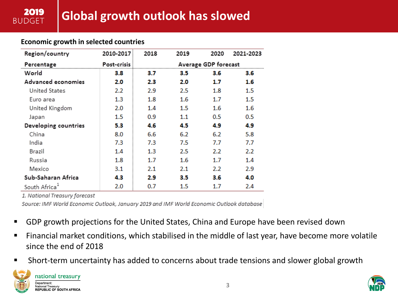#### **Economic growth in selected countries**

2019 **BUDGET** 

| Region/country            | 2010-2017        | 2018                     | 2019    | 2020 | 2021-2023 |  |
|---------------------------|------------------|--------------------------|---------|------|-----------|--|
| Percentage                | Post-crisis      | Average GDP forecast     |         |      |           |  |
| World                     | 3.8              | 3.5<br>3.6<br>3.6<br>3.7 |         |      |           |  |
| Advanced economies        | 2.0              | 2.3                      | 2.0     | 1.7  | 1.6       |  |
| <b>United States</b>      | $2.2\phantom{0}$ | 2.9                      | 2.5     | 1.8  | 1.5       |  |
| Euro area                 | $1.3\,$          | 1.8                      | 1.6     | 1.7  | $1.5\,$   |  |
| United Kingdom            | 2.0              | 1.4                      | $1.5\,$ | 1.6  | 1.6       |  |
| Japan                     | 1.5              | 0.9                      | 1.1     | 0.5  | 0.5       |  |
| Developing countries      | 5.3              | 4.6                      | 4.5     | 4.9  | 4.9       |  |
| China                     | 8.0              | 6.6                      | 6.2     | 6.2  | 5.8       |  |
| India                     | 7.3              | 7.3                      | 7.5     | 7.7  | 7.7       |  |
| Brazil                    | 1.4              | $1.3\,$                  | 2.5     | 2.2  | 2.2       |  |
| Russia                    | 1.8              | 1.7                      | 1.6     | 1.7  | 1.4       |  |
| Mexico                    | 3.1              | 2.1                      | 2.1     | 2.2  | 2.9       |  |
| Sub-Saharan Africa        | 4.3              | 2.9                      | 3.5     | 3.6  | 4.0       |  |
| South Africa <sup>®</sup> | 2.0              | 0.7                      | $1.5\,$ | 1.7  | 2.4       |  |

1. National Treasury forecast

Source: IMF World Economic Outlook, January 2019 and IMF World Economic Outlook database

- **GDP** growth projections for the United States, China and Europe have been revised down
- Financial market conditions, which stabilised in the middle of last year, have become more volatile since the end of 2018
- Short-term uncertainty has added to concerns about trade tensions and slower global growth



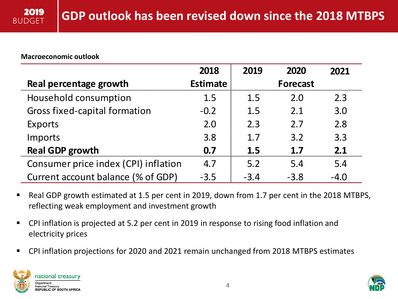#### **Macroeconomic outlook**

|                                      | 2018            | 2019   | 2020            | 2021   |
|--------------------------------------|-----------------|--------|-----------------|--------|
| Real percentage growth               | <b>Estimate</b> |        | <b>Forecast</b> |        |
| Household consumption                | 1.5             | 1.5    | 2.0             | 2.3    |
| <b>Gross fixed-capital formation</b> | $-0.2$          | 1.5    | 2.1             | 3.0    |
| <b>Exports</b>                       | 2.0             | 2.3    | 2.7             | 2.8    |
| Imports                              | 3.8             | 1.7    | 3.2             | 3.3    |
| <b>Real GDP growth</b>               | 0.7             | 1.5    | 1.7             | 2.1    |
| Consumer price index (CPI) inflation | 4.7             | 5.2    | 5.4             | 5.4    |
| Current account balance (% of GDP)   | $-3.5$          | $-3.4$ | $-3.8$          | $-4.0$ |

- Real GDP growth estimated at 1.5 per cent in 2019, down from 1.7 per cent in the 2018 MTBPS, reflecting weak employment and investment growth
- CPI inflation is projected at 5.2 per cent in 2019 in response to rising food inflation and electricity prices
- CPI inflation projections for 2020 and 2021 remain unchanged from 2018 MTBPS estimates



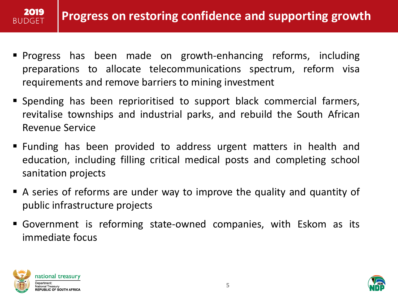

- Progress has been made on growth-enhancing reforms, including preparations to allocate telecommunications spectrum, reform visa requirements and remove barriers to mining investment
- Spending has been reprioritised to support black commercial farmers, revitalise townships and industrial parks, and rebuild the South African Revenue Service
- Funding has been provided to address urgent matters in health and education, including filling critical medical posts and completing school sanitation projects
- A series of reforms are under way to improve the quality and quantity of public infrastructure projects
- Government is reforming state-owned companies, with Eskom as its immediate focus



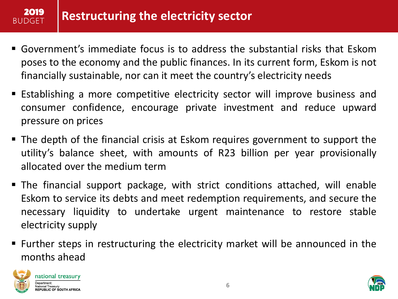## **Restructuring the electricity sector**

- Government's immediate focus is to address the substantial risks that Eskom poses to the economy and the public finances. In its current form, Eskom is not financially sustainable, nor can it meet the country's electricity needs
- Establishing a more competitive electricity sector will improve business and consumer confidence, encourage private investment and reduce upward pressure on prices
- The depth of the financial crisis at Eskom requires government to support the utility's balance sheet, with amounts of R23 billion per year provisionally allocated over the medium term
- The financial support package, with strict conditions attached, will enable Eskom to service its debts and meet redemption requirements, and secure the necessary liquidity to undertake urgent maintenance to restore stable electricity supply
- Further steps in restructuring the electricity market will be announced in the months ahead



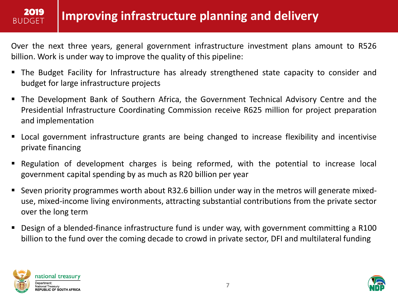### **Improving infrastructure planning and delivery**

Over the next three years, general government infrastructure investment plans amount to R526 billion. Work is under way to improve the quality of this pipeline:

- The Budget Facility for Infrastructure has already strengthened state capacity to consider and budget for large infrastructure projects
- The Development Bank of Southern Africa, the Government Technical Advisory Centre and the Presidential Infrastructure Coordinating Commission receive R625 million for project preparation and implementation
- Local government infrastructure grants are being changed to increase flexibility and incentivise private financing
- Regulation of development charges is being reformed, with the potential to increase local government capital spending by as much as R20 billion per year
- Seven priority programmes worth about R32.6 billion under way in the metros will generate mixeduse, mixed-income living environments, attracting substantial contributions from the private sector over the long term
- Design of a blended-finance infrastructure fund is under way, with government committing a R100 billion to the fund over the coming decade to crowd in private sector, DFI and multilateral funding



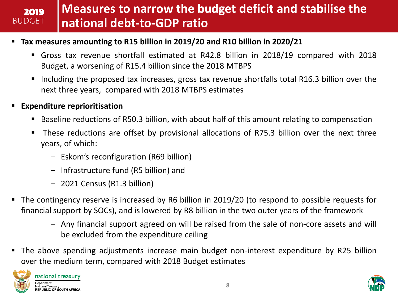#### **Measures to narrow the budget deficit and stabilise the**  2019 **BUDGET national debt-to-GDP ratio**

#### **Tax measures amounting to R15 billion in 2019/20 and R10 billion in 2020/21**

- Gross tax revenue shortfall estimated at R42.8 billion in 2018/19 compared with 2018 Budget, a worsening of R15.4 billion since the 2018 MTBPS
- Including the proposed tax increases, gross tax revenue shortfalls total R16.3 billion over the next three years, compared with 2018 MTBPS estimates

#### **Expenditure reprioritisation**

- Baseline reductions of R50.3 billion, with about half of this amount relating to compensation
- These reductions are offset by provisional allocations of R75.3 billion over the next three years, of which:
	- − Eskom's reconfiguration (R69 billion)
	- − Infrastructure fund (R5 billion) and
	- − 2021 Census (R1.3 billion)
- The contingency reserve is increased by R6 billion in 2019/20 (to respond to possible requests for financial support by SOCs), and is lowered by R8 billion in the two outer years of the framework
	- − Any financial support agreed on will be raised from the sale of non-core assets and will be excluded from the expenditure ceiling
- The above spending adjustments increase main budget non-interest expenditure by R25 billion over the medium term, compared with 2018 Budget estimates



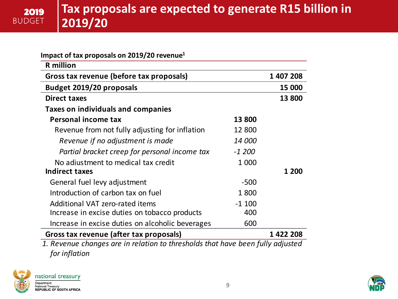| Impact of tax proposals on 2019/20 revenue <sup>1</sup> |               |           |
|---------------------------------------------------------|---------------|-----------|
| <b>R</b> million                                        |               |           |
| Gross tax revenue (before tax proposals)                |               | 1 407 208 |
| <b>Budget 2019/20 proposals</b>                         |               | 15 000    |
| <b>Direct taxes</b>                                     |               | 13 800    |
| Taxes on individuals and companies                      |               |           |
| Personal income tax                                     | 13 800        |           |
| Revenue from not fully adjusting for inflation          | 12 800        |           |
| Revenue if no adjustment is made                        | <i>14 000</i> |           |
| Partial bracket creep for personal income tax           | $-1,200$      |           |
| No adjustment to medical tax credit                     | 1 000         |           |
| Indirect taxes                                          |               | 1 200     |
| General fuel levy adjustment                            | $-500$        |           |
| Introduction of carbon tax on fuel                      | 1800          |           |
| Additional VAT zero-rated items                         | $-1100$       |           |
| Increase in excise duties on tobacco products           | 400           |           |
| Increase in excise duties on alcoholic beverages        | 600           |           |
| Gross tax revenue (after tax proposals)                 |               | 1 422 208 |

*1. Revenue changes are in relation to thresholds that have been fully adjusted for inflation*



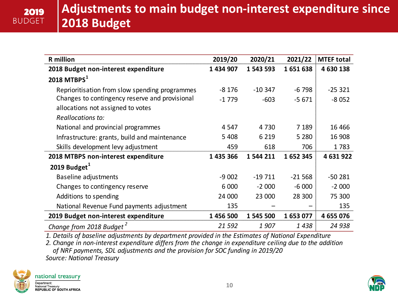| <b>R</b> million                               | 2019/20   | 2020/21   | 2021/22  | <b>MTEF total</b> |
|------------------------------------------------|-----------|-----------|----------|-------------------|
| 2018 Budget non-interest expenditure           | 1 434 907 | 1 543 593 | 1651638  | 4 630 138         |
| 2018 MTBPS $1$                                 |           |           |          |                   |
| Reprioritisation from slow spending programmes | $-8176$   | $-10347$  | $-6798$  | $-25321$          |
| Changes to contingency reserve and provisional | $-1779$   | $-603$    | $-5671$  | $-8052$           |
| allocations not assigned to votes              |           |           |          |                   |
| Reallocations to:                              |           |           |          |                   |
| National and provincial programmes             | 4 5 4 7   | 4 7 3 0   | 7 1 8 9  | 16 4 66           |
| Infrastructure: grants, build and maintenance  | 5 4 0 8   | 6 2 1 9   | 5 2 8 0  | 16 908            |
| Skills development levy adjustment             | 459       | 618       | 706      | 1783              |
| 2018 MTBPS non-interest expenditure            | 1 435 366 | 1 544 211 | 1652345  | 4 631 922         |
| 2019 Budget $^1$                               |           |           |          |                   |
| Baseline adjustments                           | $-9002$   | $-19711$  | $-21568$ | $-50281$          |
| Changes to contingency reserve                 | 6 0 0 0   | $-2000$   | $-6000$  | $-2000$           |
| Additions to spending                          | 24 000    | 23 000    | 28 300   | 75 300            |
| National Revenue Fund payments adjustment      | 135       |           |          | 135               |
| 2019 Budget non-interest expenditure           | 1 456 500 | 1 545 500 | 1653077  | 4 655 076         |
| Change from 2018 Budget <sup>2</sup>           | 21 5 92   | 1907      | 1438     | 24 938            |

*1. Details of baseline adjustments by department provided in the Estimates of National Expenditure*

*2. Change in non-interest expenditure differs from the change in expenditure ceiling due to the addition of NRF payments, SDL adjustments and the provision for SOC funding in 2019/20 Source: National Treasury*

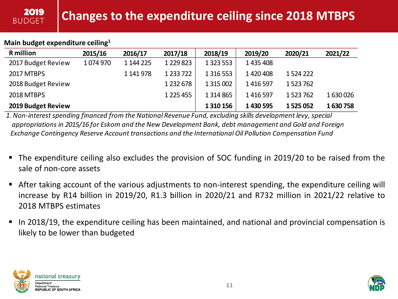#### **Main budget expenditure ceiling<sup>1</sup>**

2019 **BUDGET** 

| <b>R</b> million   | 2015/16 | 2016/17   | 2017/18       | 2018/19       | 2019/20   | 2020/21   | 2021/22 |
|--------------------|---------|-----------|---------------|---------------|-----------|-----------|---------|
| 2017 Budget Review | 1074970 | 1 144 225 | 1 2 2 9 8 2 3 | 1 3 2 3 5 5 3 | 1435408   |           |         |
| 2017 MTBPS         |         | 1 141 978 | 1 2 3 7 2 2   | 1 3 1 6 5 5 3 | 1420408   | 1524222   |         |
| 2018 Budget Review |         |           | 1 2 3 2 6 7 8 | 1 3 1 5 0 0 2 | 1416597   | 1523762   |         |
| <b>2018 MTBPS</b>  |         |           | 1 2 2 4 4 5 5 | 1 3 1 4 8 6 5 | 1416597   | 1523762   | 1630026 |
| 2019 Budget Review |         |           |               | 1 3 1 0 1 5 6 | 1 430 595 | 1 525 052 | 1630758 |

*1. Non-interest spending financed from the National Revenue Fund, excluding skills development levy, special appropriations in 2015/16 for Eskom and the New Development Bank, debt management and Gold and Foreign Exchange Contingency Reserve Account transactions and the International Oil Pollution Compensation Fund*

- The expenditure ceiling also excludes the provision of SOC funding in 2019/20 to be raised from the sale of non-core assets
- After taking account of the various adjustments to non-interest spending, the expenditure ceiling will increase by R14 billion in 2019/20, R1.3 billion in 2020/21 and R732 million in 2021/22 relative to 2018 MTBPS estimates
- In 2018/19, the expenditure ceiling has been maintained, and national and provincial compensation is likely to be lower than budgeted



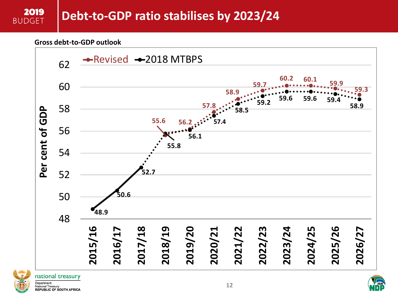#### **Gross debt-to-GDP outlook**





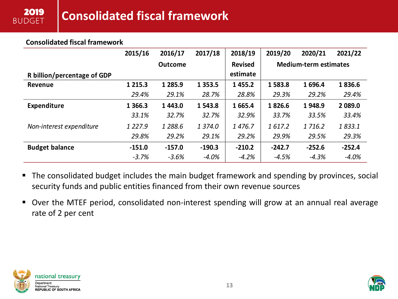#### **Consolidated fiscal framework**

|                             | 2015/16     | 2016/17        | 2017/18     | 2018/19                    | 2019/20  | 2020/21                      | 2021/22  |
|-----------------------------|-------------|----------------|-------------|----------------------------|----------|------------------------------|----------|
| R billion/percentage of GDP |             | <b>Outcome</b> |             | <b>Revised</b><br>estimate |          | <b>Medium-term estimates</b> |          |
| Revenue                     | 1 2 1 5 . 3 | 1 2 8 5 . 9    | 1 3 5 3 . 5 | 1 4 5 5 . 2                | 1583.8   | 1696.4                       | 1836.6   |
|                             | 29.4%       | 29.1%          | 28.7%       | 28.8%                      | 29.3%    | 29.2%                        | 29.4%    |
| <b>Expenditure</b>          | 1 3 6 6.3   | 1443.0         | 1 543.8     | 1 665.4                    | 1826.6   | 1948.9                       | 2 089.0  |
|                             | 33.1%       | 32.7%          | 32.7%       | 32.9%                      | 33.7%    | 33.5%                        | 33.4%    |
| Non-interest expenditure    | 1 2 2 7 . 9 | 1 288.6        | 1 374.0     | 1476.7                     | 1617.2   | 1 716.2                      | 1833.1   |
|                             | 29.8%       | 29.2%          | 29.1%       | 29.2%                      | 29.9%    | 29.5%                        | 29.3%    |
| <b>Budget balance</b>       | $-151.0$    | $-157.0$       | $-190.3$    | $-210.2$                   | $-242.7$ | $-252.6$                     | $-252.4$ |
|                             | $-3.7%$     | $-3.6%$        | $-4.0%$     | $-4.2%$                    | $-4.5%$  | $-4.3%$                      | $-4.0%$  |

- The consolidated budget includes the main budget framework and spending by provinces, social security funds and public entities financed from their own revenue sources
- Over the MTEF period, consolidated non-interest spending will grow at an annual real average rate of 2 per cent



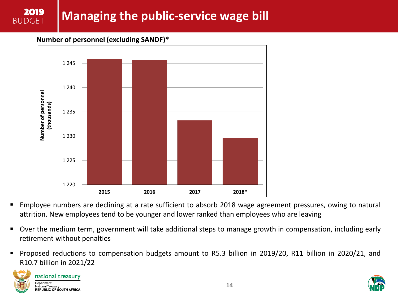# **Managing the public-service wage bill**

**Number of personnel (excluding SANDF)\***



- Employee numbers are declining at a rate sufficient to absorb 2018 wage agreement pressures, owing to natural attrition. New employees tend to be younger and lower ranked than employees who are leaving
- Over the medium term, government will take additional steps to manage growth in compensation, including early retirement without penalties
- Proposed reductions to compensation budgets amount to R5.3 billion in 2019/20, R11 billion in 2020/21, and R10.7 billion in 2021/22



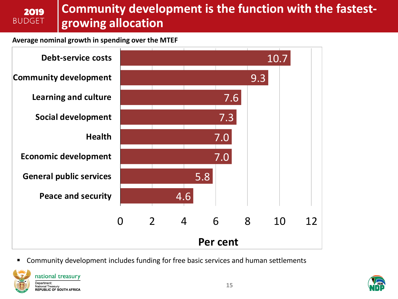### **Community development is the function with the fastestgrowing allocation**

#### **Average nominal growth in spending over the MTEF**

2019 **BUDGET** 



Community development includes funding for free basic services and human settlements



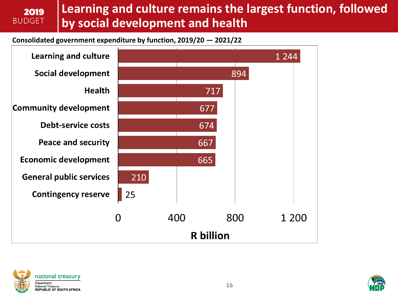#### **Learning and culture remains the largest function, followed**  2019 **BUDGET by social development and health**

**Consolidated government expenditure by function, 2019/20 — 2021/22**





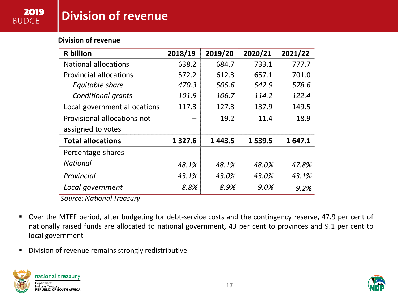### **Division of revenue**

#### **Division of revenue**

| <b>R</b> billion                 | 2018/19    | 2019/20 | 2020/21 | 2021/22 |
|----------------------------------|------------|---------|---------|---------|
| National allocations             | 638.2      | 684.7   | 733.1   | 777.7   |
| <b>Provincial allocations</b>    | 572.2      | 612.3   | 657.1   | 701.0   |
| Equitable share                  | 470.3      | 505.6   | 542.9   | 578.6   |
| Conditional grants               | 101.9      | 106.7   | 114.2   | 122.4   |
| Local government allocations     | 117.3      | 127.3   | 137.9   | 149.5   |
| Provisional allocations not      |            | 19.2    | 11.4    | 18.9    |
| assigned to votes                |            |         |         |         |
| <b>Total allocations</b>         | 1 3 2 7 .6 | 1443.5  | 1 539.5 | 1647.1  |
| Percentage shares                |            |         |         |         |
| <b>National</b>                  | 48.1%      | 48.1%   | 48.0%   | 47.8%   |
| Provincial                       | 43.1%      | 43.0%   | 43.0%   | 43.1%   |
| Local government                 | 8.8%       | 8.9%    | 9.0%    | 9.2%    |
| <b>Source: National Treasury</b> |            |         |         |         |

- Over the MTEF period, after budgeting for debt-service costs and the contingency reserve, 47.9 per cent of nationally raised funds are allocated to national government, 43 per cent to provinces and 9.1 per cent to local government
- Division of revenue remains strongly redistributive



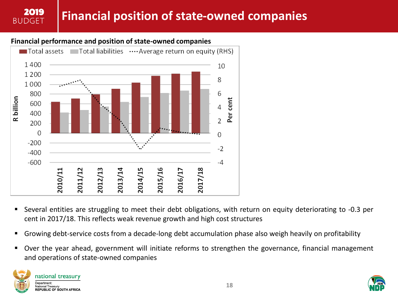### **Financial position of state-owned companies**

#### **Financial performance and position of state-owned companies**



- Several entities are struggling to meet their debt obligations, with return on equity deteriorating to -0.3 per cent in 2017/18. This reflects weak revenue growth and high cost structures
- Growing debt-service costs from a decade-long debt accumulation phase also weigh heavily on profitability
- **Diamage 1** Over the year ahead, government will initiate reforms to strengthen the governance, financial management and operations of state-owned companies



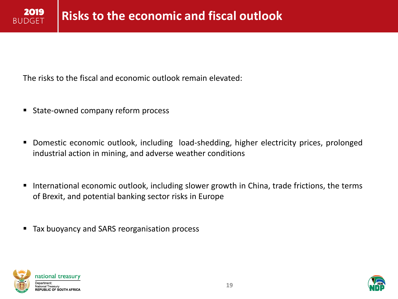The risks to the fiscal and economic outlook remain elevated:

- State-owned company reform process
- Domestic economic outlook, including load-shedding, higher electricity prices, prolonged industrial action in mining, and adverse weather conditions
- International economic outlook, including slower growth in China, trade frictions, the terms of Brexit, and potential banking sector risks in Europe
- Tax buoyancy and SARS reorganisation process